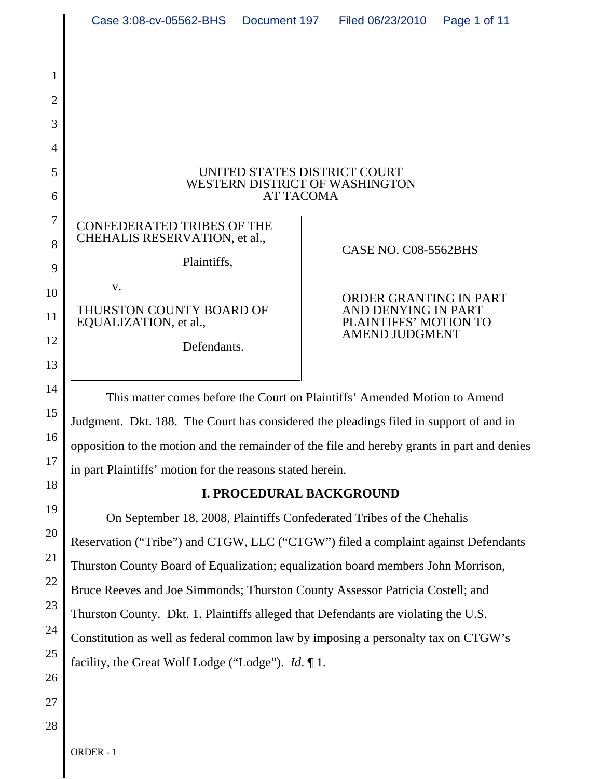|                     | Case 3:08-cv-05562-BHS                                                                                                                                                  |  | Document 197   Filed 06/23/2010                                        | Page 1 of 11 |  |  |
|---------------------|-------------------------------------------------------------------------------------------------------------------------------------------------------------------------|--|------------------------------------------------------------------------|--------------|--|--|
|                     |                                                                                                                                                                         |  |                                                                        |              |  |  |
| 1                   |                                                                                                                                                                         |  |                                                                        |              |  |  |
| $\overline{2}$<br>3 |                                                                                                                                                                         |  |                                                                        |              |  |  |
| 4                   |                                                                                                                                                                         |  |                                                                        |              |  |  |
| 5                   | UNITED STATES DISTRICT COURT                                                                                                                                            |  |                                                                        |              |  |  |
| 6                   | WESTERN DISTRICT OF WASHINGTON<br><b>AT TACOMA</b>                                                                                                                      |  |                                                                        |              |  |  |
| $\tau$              | <b>CONFEDERATED TRIBES OF THE</b><br>CHEHALIS RESERVATION, et al.,                                                                                                      |  |                                                                        |              |  |  |
| 8                   | Plaintiffs,                                                                                                                                                             |  | CASE NO. C08-5562BHS                                                   |              |  |  |
| 9<br>10             | V.                                                                                                                                                                      |  |                                                                        |              |  |  |
| 11                  | THURSTON COUNTY BOARD OF<br>EQUALIZATION, et al.,                                                                                                                       |  | ORDER GRANTING IN PART<br>AND DENYING IN PART<br>PLAINTIFFS' MOTION TO |              |  |  |
| 12                  | Defendants.                                                                                                                                                             |  | <b>AMEND JUDGMENT</b>                                                  |              |  |  |
| 13                  |                                                                                                                                                                         |  |                                                                        |              |  |  |
| 14                  | This matter comes before the Court on Plaintiffs' Amended Motion to Amend                                                                                               |  |                                                                        |              |  |  |
| 15                  | Judgment. Dkt. 188. The Court has considered the pleadings filed in support of and in                                                                                   |  |                                                                        |              |  |  |
| 16<br>17            | opposition to the motion and the remainder of the file and hereby grants in part and denies                                                                             |  |                                                                        |              |  |  |
| 18                  | in part Plaintiffs' motion for the reasons stated herein.                                                                                                               |  |                                                                        |              |  |  |
| 19                  | I. PROCEDURAL BACKGROUND                                                                                                                                                |  |                                                                        |              |  |  |
| 20                  | On September 18, 2008, Plaintiffs Confederated Tribes of the Chehalis                                                                                                   |  |                                                                        |              |  |  |
| 21                  | Reservation ("Tribe") and CTGW, LLC ("CTGW") filed a complaint against Defendants                                                                                       |  |                                                                        |              |  |  |
| 22                  | Thurston County Board of Equalization; equalization board members John Morrison,                                                                                        |  |                                                                        |              |  |  |
| 23                  | Bruce Reeves and Joe Simmonds; Thurston County Assessor Patricia Costell; and                                                                                           |  |                                                                        |              |  |  |
| 24                  | Thurston County. Dkt. 1. Plaintiffs alleged that Defendants are violating the U.S.<br>Constitution as well as federal common law by imposing a personalty tax on CTGW's |  |                                                                        |              |  |  |
| 25                  | facility, the Great Wolf Lodge ("Lodge"). $Id. \P 1$ .                                                                                                                  |  |                                                                        |              |  |  |
| 26                  |                                                                                                                                                                         |  |                                                                        |              |  |  |
| 27                  |                                                                                                                                                                         |  |                                                                        |              |  |  |
| 28                  |                                                                                                                                                                         |  |                                                                        |              |  |  |

ORDER - 1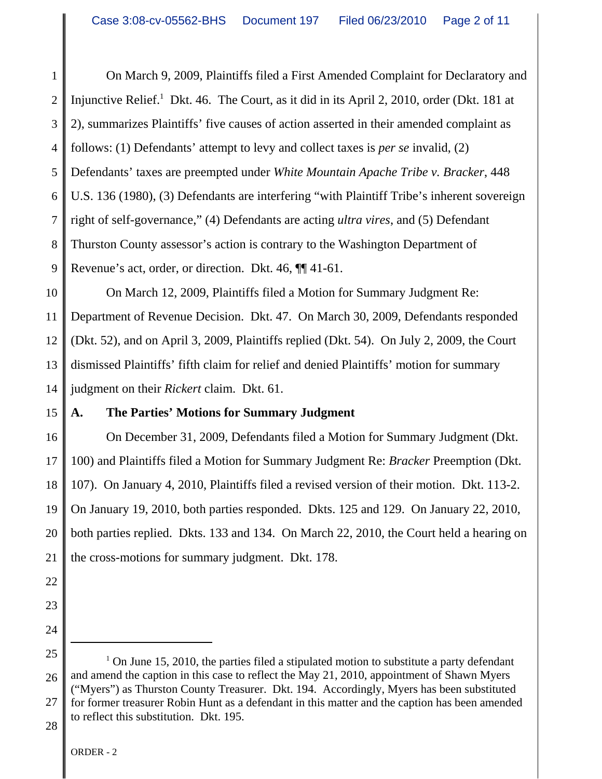1 2 3 4 5 6 7 8 9 On March 9, 2009, Plaintiffs filed a First Amended Complaint for Declaratory and Injunctive Relief.<sup>1</sup> Dkt. 46. The Court, as it did in its April 2, 2010, order (Dkt. 181 at 2), summarizes Plaintiffs' five causes of action asserted in their amended complaint as follows: (1) Defendants' attempt to levy and collect taxes is *per se* invalid, (2) Defendants' taxes are preempted under *White Mountain Apache Tribe v. Bracker*, 448 U.S. 136 (1980), (3) Defendants are interfering "with Plaintiff Tribe's inherent sovereign right of self-governance," (4) Defendants are acting *ultra vires*, and (5) Defendant Thurston County assessor's action is contrary to the Washington Department of Revenue's act, order, or direction. Dkt. 46, ¶¶ 41-61.

10 11 12 13 14 On March 12, 2009, Plaintiffs filed a Motion for Summary Judgment Re: Department of Revenue Decision. Dkt. 47. On March 30, 2009, Defendants responded (Dkt. 52), and on April 3, 2009, Plaintiffs replied (Dkt. 54). On July 2, 2009, the Court dismissed Plaintiffs' fifth claim for relief and denied Plaintiffs' motion for summary judgment on their *Rickert* claim. Dkt. 61.

## 15 **A. The Parties' Motions for Summary Judgment**

16 17 18 19 20 21 On December 31, 2009, Defendants filed a Motion for Summary Judgment (Dkt. 100) and Plaintiffs filed a Motion for Summary Judgment Re: *Bracker* Preemption (Dkt. 107). On January 4, 2010, Plaintiffs filed a revised version of their motion. Dkt. 113-2. On January 19, 2010, both parties responded. Dkts. 125 and 129. On January 22, 2010, both parties replied. Dkts. 133 and 134. On March 22, 2010, the Court held a hearing on the cross-motions for summary judgment. Dkt. 178.

- 22
- 23
- 24

<sup>25</sup> 26 27  $1$  On June 15, 2010, the parties filed a stipulated motion to substitute a party defendant and amend the caption in this case to reflect the May 21, 2010, appointment of Shawn Myers ("Myers") as Thurston County Treasurer. Dkt. 194. Accordingly, Myers has been substituted for former treasurer Robin Hunt as a defendant in this matter and the caption has been amended to reflect this substitution. Dkt. 195.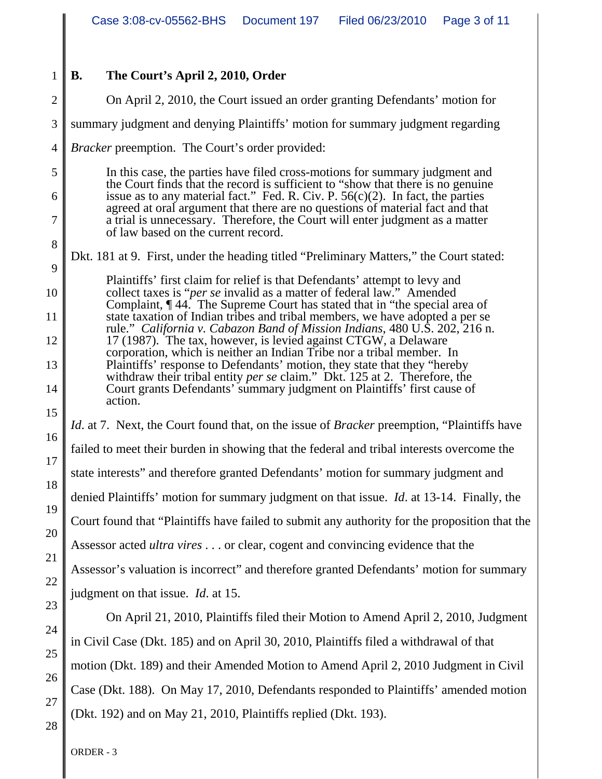## **B. The Court's April 2, 2010, Order**

1

2 3 4 5 6 7 8 9 10 11 12 13 14 15 16 17 18 19 20 21 22 23 On April 2, 2010, the Court issued an order granting Defendants' motion for summary judgment and denying Plaintiffs' motion for summary judgment regarding *Bracker* preemption. The Court's order provided: In this case, the parties have filed cross-motions for summary judgment and the Court finds that the record is sufficient to "show that there is no genuine issue as to any material fact." Fed. R. Civ. P.  $56(c)(2)$ . In fact, the parties agreed at oral argument that there are no questions of material fact and that a trial is unnecessary. Therefore, the Court will enter judgment as a matter of law based on the current record. Dkt. 181 at 9. First, under the heading titled "Preliminary Matters," the Court stated: Plaintiffs' first claim for relief is that Defendants' attempt to levy and collect taxes is "*per se* invalid as a matter of federal law." Amended Complaint, ¶ 44. The Supreme Court has stated that in "the special area of state taxation of Indian tribes and tribal members, we have adopted a per se rule." *California v. Cabazon Band of Mission Indians*, 480 U.S. 202, 216 n. 17 (1987). The tax, however, is levied against CTGW, a Delaware corporation, which is neither an Indian Tribe nor a tribal member. In Plaintiffs' response to Defendants' motion, they state that they "hereby withdraw their tribal entity *per se* claim." Dkt. 125 at 2. Therefore, the Court grants Defendants' summary judgment on Plaintiffs' first cause of action. *Id.* at 7. Next, the Court found that, on the issue of *Bracker* preemption, "Plaintiffs have failed to meet their burden in showing that the federal and tribal interests overcome the state interests" and therefore granted Defendants' motion for summary judgment and denied Plaintiffs' motion for summary judgment on that issue. *Id*. at 13-14. Finally, the Court found that "Plaintiffs have failed to submit any authority for the proposition that the Assessor acted *ultra vires* . . . or clear, cogent and convincing evidence that the Assessor's valuation is incorrect" and therefore granted Defendants' motion for summary judgment on that issue. *Id*. at 15.

On April 21, 2010, Plaintiffs filed their Motion to Amend April 2, 2010, Judgment in Civil Case (Dkt. 185) and on April 30, 2010, Plaintiffs filed a withdrawal of that motion (Dkt. 189) and their Amended Motion to Amend April 2, 2010 Judgment in Civil Case (Dkt. 188). On May 17, 2010, Defendants responded to Plaintiffs' amended motion (Dkt. 192) and on May 21, 2010, Plaintiffs replied (Dkt. 193).

24

25

26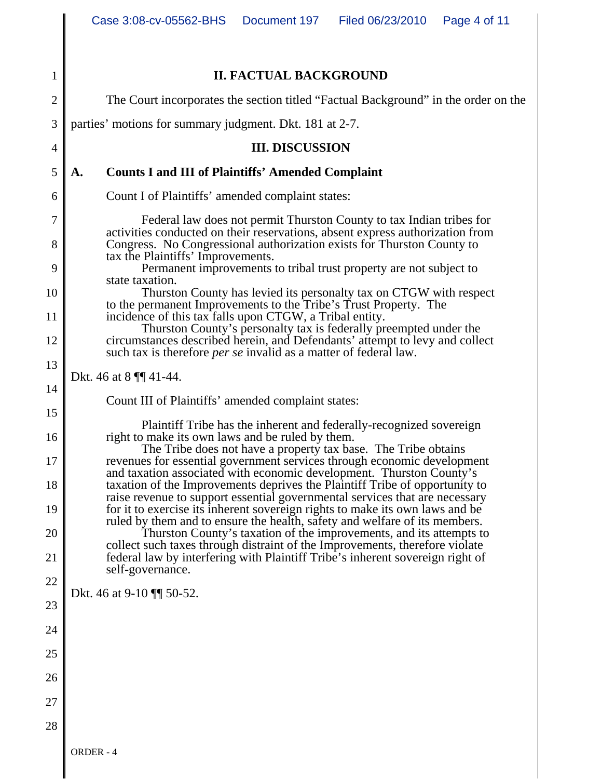| 1              | <b>II. FACTUAL BACKGROUND</b>                                                                                                                                                                                                             |  |  |  |  |
|----------------|-------------------------------------------------------------------------------------------------------------------------------------------------------------------------------------------------------------------------------------------|--|--|--|--|
| $\mathbf{2}$   | The Court incorporates the section titled "Factual Background" in the order on the                                                                                                                                                        |  |  |  |  |
| 3              | parties' motions for summary judgment. Dkt. 181 at 2-7.                                                                                                                                                                                   |  |  |  |  |
| $\overline{4}$ | <b>III. DISCUSSION</b>                                                                                                                                                                                                                    |  |  |  |  |
| 5              | <b>Counts I and III of Plaintiffs' Amended Complaint</b><br>A.                                                                                                                                                                            |  |  |  |  |
| 6              | Count I of Plaintiffs' amended complaint states:                                                                                                                                                                                          |  |  |  |  |
| 7              | Federal law does not permit Thurston County to tax Indian tribes for                                                                                                                                                                      |  |  |  |  |
| 8              | activities conducted on their reservations, absent express authorization from<br>Congress. No Congressional authorization exists for Thurston County to                                                                                   |  |  |  |  |
| 9              | tax the Plaintiffs' Improvements.<br>Permanent improvements to tribal trust property are not subject to                                                                                                                                   |  |  |  |  |
| 10             | state taxation.<br>Thurston County has levied its personalty tax on CTGW with respect                                                                                                                                                     |  |  |  |  |
| 11             | to the permanent Improvements to the Tribe's Trust Property. The<br>incidence of this tax falls upon CTGW, a Tribal entity.                                                                                                               |  |  |  |  |
| 12             | Thurston County's personalty tax is federally preempted under the<br>circumstances described herein, and Defendants' attempt to levy and collect                                                                                          |  |  |  |  |
| 13             | such tax is therefore <i>per se</i> invalid as a matter of federal law.                                                                                                                                                                   |  |  |  |  |
| 14             | Dkt. 46 at 8 $\P$ 41-44.                                                                                                                                                                                                                  |  |  |  |  |
| 15             | Count III of Plaintiffs' amended complaint states:                                                                                                                                                                                        |  |  |  |  |
| 16             | Plaintiff Tribe has the inherent and federally-recognized sovereign<br>right to make its own laws and be ruled by them.                                                                                                                   |  |  |  |  |
| 17             | The Tribe does not have a property tax base. The Tribe obtains<br>revenues for essential government services through economic development                                                                                                 |  |  |  |  |
| 18             | and taxation associated with economic development. Thurston County's<br>taxation of the Improvements deprives the Plaintiff Tribe of opportunity to                                                                                       |  |  |  |  |
| 19             | raise revenue to support essential governmental services that are necessary<br>for it to exercise its inherent sovereign rights to make its own laws and be<br>ruled by them and to ensure the health, safety and welfare of its members. |  |  |  |  |
| 20             | Thurston County's taxation of the improvements, and its attempts to<br>collect such taxes through distraint of the Improvements, therefore violate                                                                                        |  |  |  |  |
| 21             | federal law by interfering with Plaintiff Tribe's inherent sovereign right of<br>self-governance.                                                                                                                                         |  |  |  |  |
| 22             | Dkt. 46 at 9-10 [[ 50-52.                                                                                                                                                                                                                 |  |  |  |  |
| 23             |                                                                                                                                                                                                                                           |  |  |  |  |
| 24             |                                                                                                                                                                                                                                           |  |  |  |  |
| 25             |                                                                                                                                                                                                                                           |  |  |  |  |
| 26             |                                                                                                                                                                                                                                           |  |  |  |  |
| 27             |                                                                                                                                                                                                                                           |  |  |  |  |
| 28             |                                                                                                                                                                                                                                           |  |  |  |  |
|                |                                                                                                                                                                                                                                           |  |  |  |  |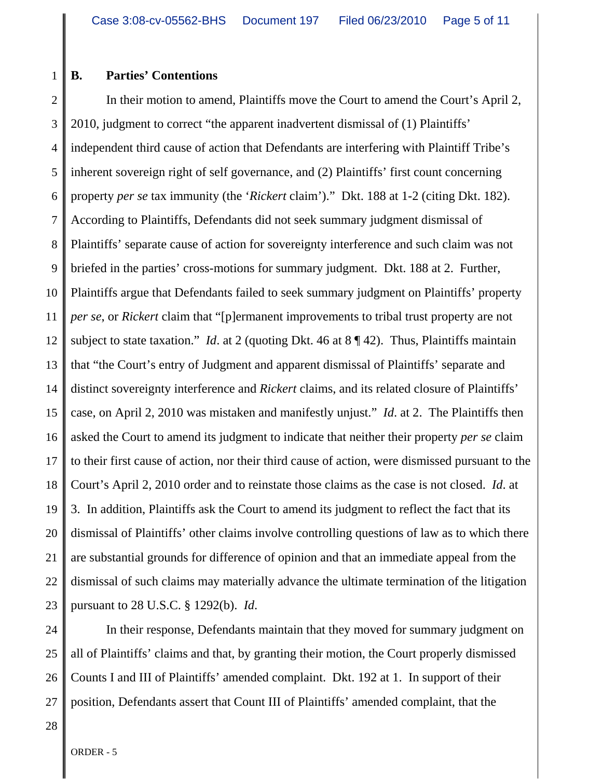## 1 **B. Parties' Contentions**

2 3 4 5 6 7 8 9 10 11 12 13 14 15 16 17 18 19 20 21 22 23 In their motion to amend, Plaintiffs move the Court to amend the Court's April 2, 2010, judgment to correct "the apparent inadvertent dismissal of (1) Plaintiffs' independent third cause of action that Defendants are interfering with Plaintiff Tribe's inherent sovereign right of self governance, and (2) Plaintiffs' first count concerning property *per se* tax immunity (the '*Rickert* claim')." Dkt. 188 at 1-2 (citing Dkt. 182). According to Plaintiffs, Defendants did not seek summary judgment dismissal of Plaintiffs' separate cause of action for sovereignty interference and such claim was not briefed in the parties' cross-motions for summary judgment. Dkt. 188 at 2. Further, Plaintiffs argue that Defendants failed to seek summary judgment on Plaintiffs' property *per se*, or *Rickert* claim that "[p]ermanent improvements to tribal trust property are not subject to state taxation." *Id*. at 2 (quoting Dkt. 46 at 8 ¶ 42). Thus, Plaintiffs maintain that "the Court's entry of Judgment and apparent dismissal of Plaintiffs' separate and distinct sovereignty interference and *Rickert* claims, and its related closure of Plaintiffs' case, on April 2, 2010 was mistaken and manifestly unjust." *Id*. at 2. The Plaintiffs then asked the Court to amend its judgment to indicate that neither their property *per se* claim to their first cause of action, nor their third cause of action, were dismissed pursuant to the Court's April 2, 2010 order and to reinstate those claims as the case is not closed. *Id*. at 3. In addition, Plaintiffs ask the Court to amend its judgment to reflect the fact that its dismissal of Plaintiffs' other claims involve controlling questions of law as to which there are substantial grounds for difference of opinion and that an immediate appeal from the dismissal of such claims may materially advance the ultimate termination of the litigation pursuant to 28 U.S.C. § 1292(b). *Id*.

24 25 26 27 In their response, Defendants maintain that they moved for summary judgment on all of Plaintiffs' claims and that, by granting their motion, the Court properly dismissed Counts I and III of Plaintiffs' amended complaint. Dkt. 192 at 1. In support of their position, Defendants assert that Count III of Plaintiffs' amended complaint, that the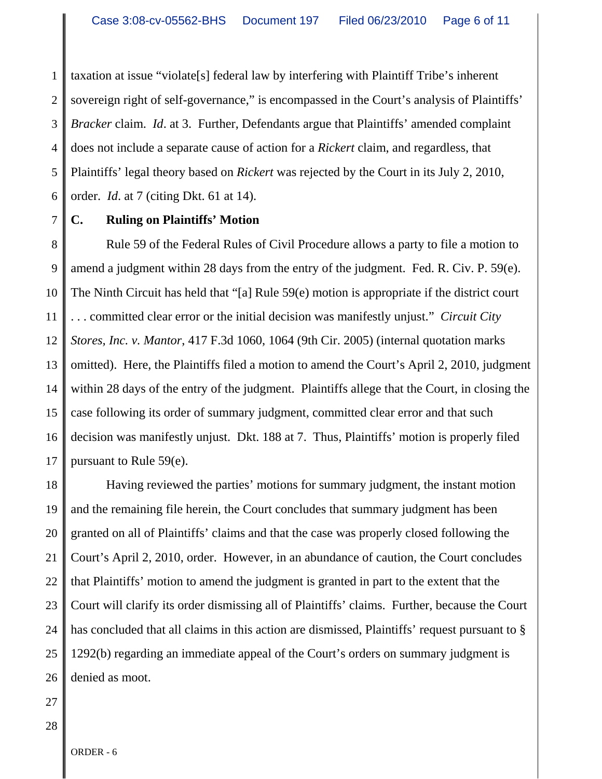1 2 3 4 5 6 taxation at issue "violate[s] federal law by interfering with Plaintiff Tribe's inherent sovereign right of self-governance," is encompassed in the Court's analysis of Plaintiffs' *Bracker* claim. *Id*. at 3. Further, Defendants argue that Plaintiffs' amended complaint does not include a separate cause of action for a *Rickert* claim, and regardless, that Plaintiffs' legal theory based on *Rickert* was rejected by the Court in its July 2, 2010, order. *Id*. at 7 (citing Dkt. 61 at 14).

7 **C. Ruling on Plaintiffs' Motion** 

8 9 10 11 12 13 14 15 16 17 Rule 59 of the Federal Rules of Civil Procedure allows a party to file a motion to amend a judgment within 28 days from the entry of the judgment. Fed. R. Civ. P. 59(e). The Ninth Circuit has held that "[a] Rule 59(e) motion is appropriate if the district court . . . committed clear error or the initial decision was manifestly unjust." *Circuit City Stores, Inc. v. Mantor*, 417 F.3d 1060, 1064 (9th Cir. 2005) (internal quotation marks omitted). Here, the Plaintiffs filed a motion to amend the Court's April 2, 2010, judgment within 28 days of the entry of the judgment. Plaintiffs allege that the Court, in closing the case following its order of summary judgment, committed clear error and that such decision was manifestly unjust. Dkt. 188 at 7. Thus, Plaintiffs' motion is properly filed pursuant to Rule 59(e).

18 19 20 21 22 23 24 25 26 Having reviewed the parties' motions for summary judgment, the instant motion and the remaining file herein, the Court concludes that summary judgment has been granted on all of Plaintiffs' claims and that the case was properly closed following the Court's April 2, 2010, order. However, in an abundance of caution, the Court concludes that Plaintiffs' motion to amend the judgment is granted in part to the extent that the Court will clarify its order dismissing all of Plaintiffs' claims. Further, because the Court has concluded that all claims in this action are dismissed, Plaintiffs' request pursuant to § 1292(b) regarding an immediate appeal of the Court's orders on summary judgment is denied as moot.

27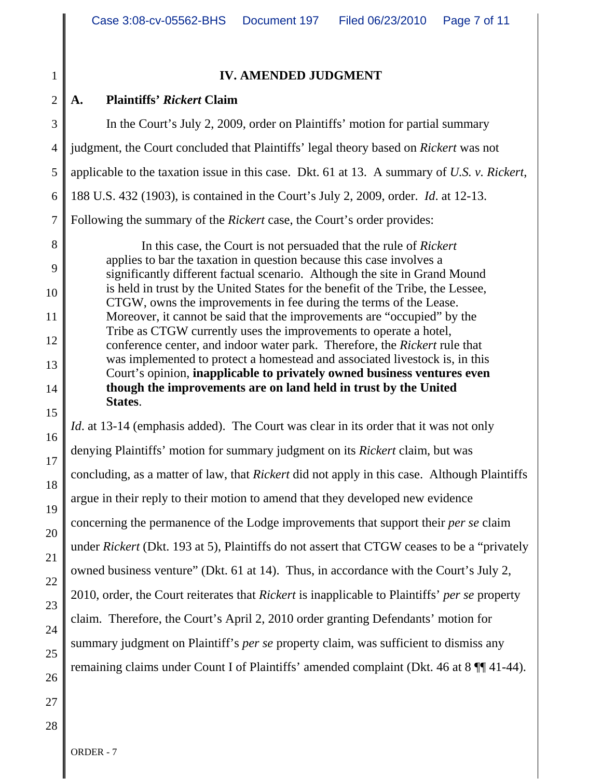1 2 3 4 5 6 7 8 9 10 11 12 13 14 15 16 17 18 19 20 21 22 23 24 25 26 **IV. AMENDED JUDGMENT A. Plaintiffs'** *Rickert* **Claim** In the Court's July 2, 2009, order on Plaintiffs' motion for partial summary judgment, the Court concluded that Plaintiffs' legal theory based on *Rickert* was not applicable to the taxation issue in this case. Dkt. 61 at 13. A summary of *U.S. v. Rickert*, 188 U.S. 432 (1903), is contained in the Court's July 2, 2009, order. *Id*. at 12-13. Following the summary of the *Rickert* case, the Court's order provides: In this case, the Court is not persuaded that the rule of *Rickert* applies to bar the taxation in question because this case involves a significantly different factual scenario. Although the site in Grand Mound is held in trust by the United States for the benefit of the Tribe, the Lessee, CTGW, owns the improvements in fee during the terms of the Lease. Moreover, it cannot be said that the improvements are "occupied" by the Tribe as CTGW currently uses the improvements to operate a hotel, conference center, and indoor water park. Therefore, the *Rickert* rule that was implemented to protect a homestead and associated livestock is, in this Court's opinion, **inapplicable to privately owned business ventures even though the improvements are on land held in trust by the United States**. *Id.* at 13-14 (emphasis added). The Court was clear in its order that it was not only denying Plaintiffs' motion for summary judgment on its *Rickert* claim, but was concluding, as a matter of law, that *Rickert* did not apply in this case. Although Plaintiffs argue in their reply to their motion to amend that they developed new evidence concerning the permanence of the Lodge improvements that support their *per se* claim under *Rickert* (Dkt. 193 at 5), Plaintiffs do not assert that CTGW ceases to be a "privately owned business venture" (Dkt. 61 at 14). Thus, in accordance with the Court's July 2, 2010, order, the Court reiterates that *Rickert* is inapplicable to Plaintiffs' *per se* property claim. Therefore, the Court's April 2, 2010 order granting Defendants' motion for summary judgment on Plaintiff's *per se* property claim, was sufficient to dismiss any remaining claims under Count I of Plaintiffs' amended complaint (Dkt. 46 at 8 ¶¶ 41-44).

28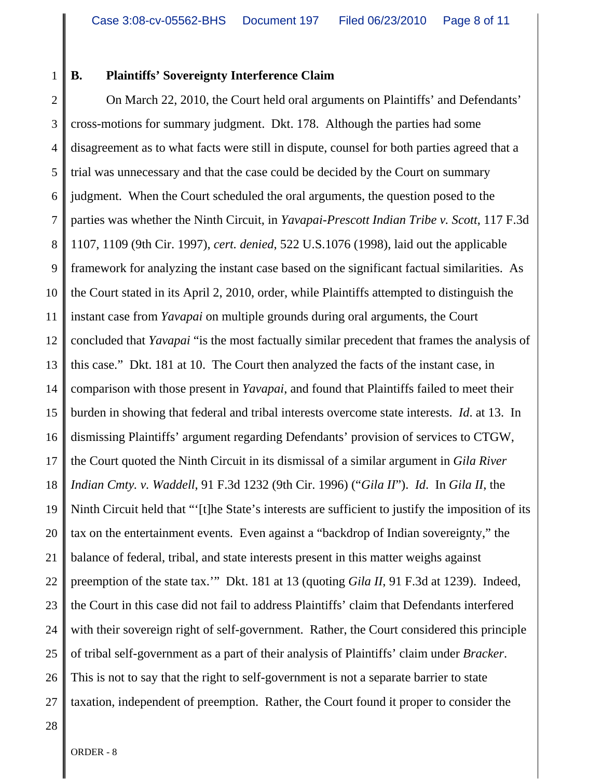1

## **B. Plaintiffs' Sovereignty Interference Claim**

2 3 4 5 6 7 8 9 10 11 12 13 14 15 16 17 18 19 20 21 22 23 24 25 26 27 On March 22, 2010, the Court held oral arguments on Plaintiffs' and Defendants' cross-motions for summary judgment. Dkt. 178. Although the parties had some disagreement as to what facts were still in dispute, counsel for both parties agreed that a trial was unnecessary and that the case could be decided by the Court on summary judgment. When the Court scheduled the oral arguments, the question posed to the parties was whether the Ninth Circuit, in *Yavapai-Prescott Indian Tribe v. Scott*, 117 F.3d 1107, 1109 (9th Cir. 1997), *cert. denied*, 522 U.S.1076 (1998), laid out the applicable framework for analyzing the instant case based on the significant factual similarities. As the Court stated in its April 2, 2010, order, while Plaintiffs attempted to distinguish the instant case from *Yavapai* on multiple grounds during oral arguments, the Court concluded that *Yavapai* "is the most factually similar precedent that frames the analysis of this case." Dkt. 181 at 10. The Court then analyzed the facts of the instant case, in comparison with those present in *Yavapai*, and found that Plaintiffs failed to meet their burden in showing that federal and tribal interests overcome state interests. *Id*. at 13. In dismissing Plaintiffs' argument regarding Defendants' provision of services to CTGW, the Court quoted the Ninth Circuit in its dismissal of a similar argument in *Gila River Indian Cmty. v. Waddell*, 91 F.3d 1232 (9th Cir. 1996) ("*Gila II*"). *Id*. In *Gila II*, the Ninth Circuit held that "'[t]he State's interests are sufficient to justify the imposition of its tax on the entertainment events. Even against a "backdrop of Indian sovereignty," the balance of federal, tribal, and state interests present in this matter weighs against preemption of the state tax.'" Dkt. 181 at 13 (quoting *Gila II*, 91 F.3d at 1239). Indeed, the Court in this case did not fail to address Plaintiffs' claim that Defendants interfered with their sovereign right of self-government. Rather, the Court considered this principle of tribal self-government as a part of their analysis of Plaintiffs' claim under *Bracker*. This is not to say that the right to self-government is not a separate barrier to state taxation, independent of preemption. Rather, the Court found it proper to consider the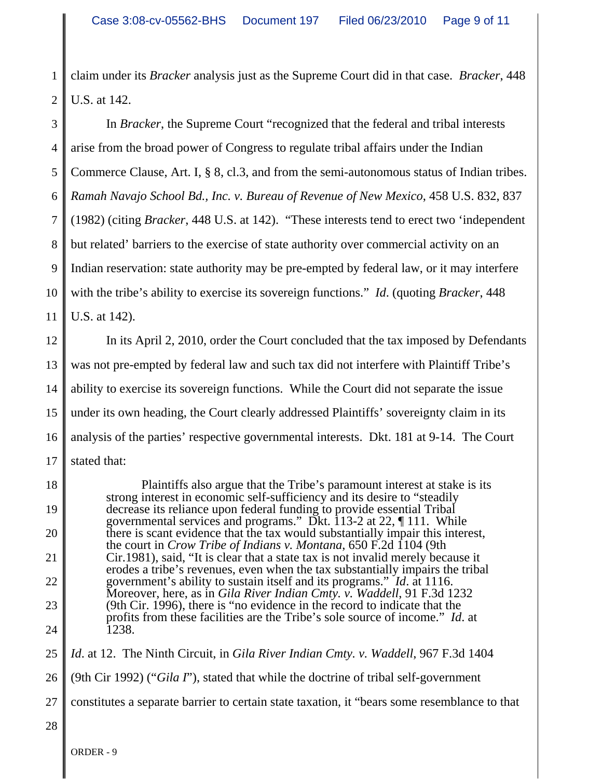1 2 claim under its *Bracker* analysis just as the Supreme Court did in that case. *Bracker*, 448 U.S. at 142.

3 4 5 6 7 8 9 10 11 12 13 In *Bracker*, the Supreme Court "recognized that the federal and tribal interests arise from the broad power of Congress to regulate tribal affairs under the Indian Commerce Clause, Art. I, § 8, cl.3, and from the semi-autonomous status of Indian tribes. *Ramah Navajo School Bd., Inc. v. Bureau of Revenue of New Mexico*, 458 U.S. 832, 837 (1982) (citing *Bracker*, 448 U.S. at 142). "These interests tend to erect two 'independent but related' barriers to the exercise of state authority over commercial activity on an Indian reservation: state authority may be pre-empted by federal law, or it may interfere with the tribe's ability to exercise its sovereign functions." *Id*. (quoting *Bracker*, 448 U.S. at 142). In its April 2, 2010, order the Court concluded that the tax imposed by Defendants was not pre-empted by federal law and such tax did not interfere with Plaintiff Tribe's

14 15 16 17 ability to exercise its sovereign functions. While the Court did not separate the issue under its own heading, the Court clearly addressed Plaintiffs' sovereignty claim in its analysis of the parties' respective governmental interests. Dkt. 181 at 9-14. The Court stated that:

18 19 20 21 22 23 24 Plaintiffs also argue that the Tribe's paramount interest at stake is its strong interest in economic self-sufficiency and its desire to "steadily decrease its reliance upon federal funding to provide essential Tribal governmental services and programs." Dkt. 113-2 at 22, ¶ 111. While there is scant evidence that the tax would substantially impair this interest, the court in *Crow Tribe of Indians v. Montana*, 650 F.2d 1104 (9th Cir.1981), said, "It is clear that a state tax is not invalid merely because it erodes a tribe's revenues, even when the tax substantially impairs the tribal government's ability to sustain itself and its programs." *Id*. at 1116. Moreover, here, as in *Gila River Indian Cmty. v. Waddell*, 91 F.3d 1232 (9th Cir. 1996), there is "no evidence in the record to indicate that the profits from these facilities are the Tribe's sole source of income." *Id*. at 1238.

25 *Id*. at 12. The Ninth Circuit, in *Gila River Indian Cmty. v. Waddell*, 967 F.3d 1404

26 (9th Cir 1992) ("*Gila I*"), stated that while the doctrine of tribal self-government

27 constitutes a separate barrier to certain state taxation, it "bears some resemblance to that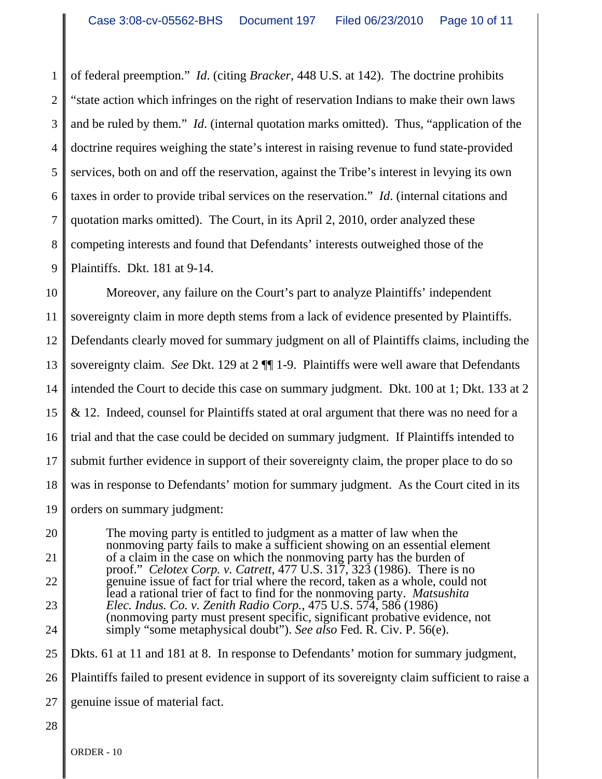1 2 3 4 5 6 7 8 9 of federal preemption." *Id*. (citing *Bracker*, 448 U.S. at 142). The doctrine prohibits "state action which infringes on the right of reservation Indians to make their own laws and be ruled by them." *Id*. (internal quotation marks omitted). Thus, "application of the doctrine requires weighing the state's interest in raising revenue to fund state-provided services, both on and off the reservation, against the Tribe's interest in levying its own taxes in order to provide tribal services on the reservation." *Id*. (internal citations and quotation marks omitted). The Court, in its April 2, 2010, order analyzed these competing interests and found that Defendants' interests outweighed those of the Plaintiffs. Dkt. 181 at 9-14.

10 11 12 13 14 15 16 17 18 19 Moreover, any failure on the Court's part to analyze Plaintiffs' independent sovereignty claim in more depth stems from a lack of evidence presented by Plaintiffs. Defendants clearly moved for summary judgment on all of Plaintiffs claims, including the sovereignty claim. *See* Dkt. 129 at 2 ¶¶ 1-9. Plaintiffs were well aware that Defendants intended the Court to decide this case on summary judgment. Dkt. 100 at 1; Dkt. 133 at 2 & 12. Indeed, counsel for Plaintiffs stated at oral argument that there was no need for a trial and that the case could be decided on summary judgment. If Plaintiffs intended to submit further evidence in support of their sovereignty claim, the proper place to do so was in response to Defendants' motion for summary judgment. As the Court cited in its orders on summary judgment:

20 21 22 23 24 25 26 27 The moving party is entitled to judgment as a matter of law when the nonmoving party fails to make a sufficient showing on an essential element of a claim in the case on which the nonmoving party has the burden of proof." *Celotex Corp. v. Catrett*, 477 U.S. 317, 323 (1986). There is no genuine issue of fact for trial where the record, taken as a whole, could not lead a rational trier of fact to find for the nonmoving party. *Matsushita Elec. Indus. Co. v. Zenith Radio Corp.*, 475 U.S. 574, 586 (1986) (nonmoving party must present specific, significant probative evidence, not simply "some metaphysical doubt"). *See also* Fed. R. Civ. P. 56(e). Dkts. 61 at 11 and 181 at 8. In response to Defendants' motion for summary judgment, Plaintiffs failed to present evidence in support of its sovereignty claim sufficient to raise a genuine issue of material fact.